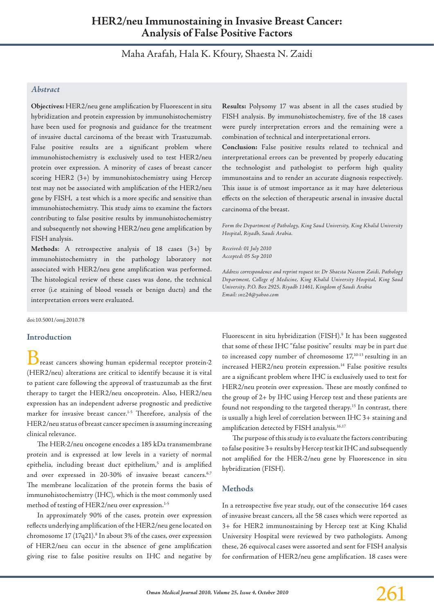# **HER2/neu Immunostaining in Invasive Breast Cancer: Analysis of False Positive Factors**

Maha Arafah, Hala K. Kfoury, Shaesta N. Zaidi

## *Abstract*

**Objectives:** HER2/neu gene amplification by Fluorescent in situ hybridization and protein expression by immunohistochemistry have been used for prognosis and guidance for the treatment of invasive ductal carcinoma of the breast with Trastuzumab. False positive results are a significant problem where immunohistochemistry is exclusively used to test HER2/neu protein over expression. A minority of cases of breast cancer scoring HER2 (3+) by immunohistochemistry using Hercep test may not be associated with amplification of the HER2/neu gene by FISH, a test which is a more specific and sensitive than immunohistochemistry. This study aims to examine the factors contributing to false positive results by immunohistochemistry and subsequently not showing HER2/neu gene amplification by FISH analysis.

**Methods**: A retrospective analysis of 18 cases (3+) by immunohistochemistry in the pathology laboratory not associated with HER2/neu gene amplification was performed. The histological review of these cases was done, the technical error (i.e staining of blood vessels or benign ducts) and the interpretation errors were evaluated.

doi:10.5001/omj.2010.78

#### **Introduction**

 $\mathcal{\breve{\mathcal{S}}}$ reast cancers showing human epidermal receptor protein-2 (HER2/neu) alterations are critical to identify because it is vital to patient care following the approval of trastuzumab as the first therapy to target the HER2/neu oncoprotein. Also, HER2/neu expression has an independent adverse prognostic and predictive marker for invasive breast cancer.<sup>1-5</sup> Therefore, analysis of the HER2/neu status of breast cancer specimen is assuming increasing clinical relevance.

The HER-2/neu oncogene encodes a 185 kDa transmembrane protein and is expressed at low levels in a variety of normal epithelia, including breast duct epithelium,<sup>5</sup> and is amplified and over expressed in 20-30% of invasive breast cancers.<sup>6,7</sup> The membrane localization of the protein forms the basis of immunohistochemistry (IHC), which is the most commonly used method of testing of HER2/neu over expression.<sup>1-5</sup>

In approximately 90% of the cases, protein over expression reflects underlying amplification of the HER2/neu gene located on chromosome 17 (17q21).<sup>8</sup> In about 3% of the cases, over expression of HER2/neu can occur in the absence of gene amplification giving rise to false positive results on IHC and negative by

**Results:** Polysomy 17 was absent in all the cases studied by FISH analysis. By immunohistochemistry, five of the 18 cases were purely interpretation errors and the remaining were a combination of technical and interpretational errors.

**Conclusion:** False positive results related to technical and interpretational errors can be prevented by properly educating the technologist and pathologist to perform high quality immunostains and to render an accurate diagnosis respectively. This issue is of utmost importance as it may have deleterious effects on the selection of therapeutic arsenal in invasive ductal carcinoma of the breast.

*Form the Department of Pathology, King Saud University, King Khalid University Hospital, Riyadh, Saudi Arabia.*

*Received: 01 July 2010 Accepted: 05 Sep 2010*

*Address correspondence and reprint request to: Dr Shaesta Naseem Zaidi, Pathology Department, College of Medicine, King Khalid University Hospital, King Saud University. P.O. Box 2925, Riyadh 11461, Kingdom of Saudi Arabia Email: snz24@yahoo.com*

Fluorescent in situ hybridization (FISH).<sup>9</sup> It has been suggested that some of these IHC "false positive" results may be in part due to increased copy number of chromosome 17,10-13 resulting in an increased HER2/neu protein expression.<sup>14</sup> False positive results are a significant problem where IHC is exclusively used to test for HER2/neu protein over expression. These are mostly confined to the group of 2+ by IHC using Hercep test and these patients are found not responding to the targeted therapy.<sup>15</sup> In contrast, there is usually a high level of correlation between IHC 3+ staining and amplification detected by FISH analysis.<sup>16,17</sup>

The purpose of this study is to evaluate the factors contributing to false positive 3+ results by Hercep test kit IHC and subsequently not amplified for the HER-2/neu gene by Fluorescence in situ hybridization (FISH).

#### **Methods**

In a retrospective five year study, out of the consecutive 164 cases of invasive breast cancers, all the 58 cases which were reported as 3+ for HER2 immunostaining by Hercep test at King Khalid University Hospital were reviewed by two pathologists. Among these, 26 equivocal cases were assorted and sent for FISH analysis for confirmation of HER2/neu gene amplification. 18 cases were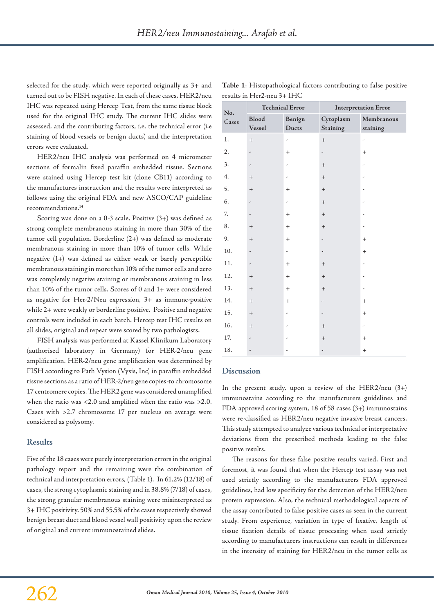selected for the study, which were reported originally as 3+ and turned out to be FISH negative. In each of these cases, HER2/neu IHC was repeated using Hercep Test, from the same tissue block used for the original IHC study. The current IHC slides were assessed, and the contributing factors, i.e. the technical error (i.e staining of blood vessels or benign ducts) and the interpretation errors were evaluated.

HER2/neu IHC analysis was performed on 4 micrometer sections of formalin fixed paraffin embedded tissue. Sections were stained using Hercep test kit (clone CB11) according to the manufactures instruction and the results were interpreted as follows using the original FDA and new ASCO/CAP guideline recommendations.14

Scoring was done on a 0-3 scale. Positive (3+) was defined as strong complete membranous staining in more than 30% of the tumor cell population. Borderline (2+) was defined as moderate membranous staining in more than 10% of tumor cells. While negative (1+) was defined as either weak or barely perceptible membranous staining in more than 10% of the tumor cells and zero was completely negative staining or membranous staining in less than 10% of the tumor cells. Scores of 0 and 1+ were considered as negative for Her-2/Neu expression, 3+ as immune-positive while 2+ were weakly or borderline positive. Positive and negative controls were included in each batch. Hercep test IHC results on all slides, original and repeat were scored by two pathologists.

FISH analysis was performed at Kassel Klinikum Laboratory (authorised laboratory in Germany) for HER-2/neu gene amplification. HER-2/neu gene amplification was determined by FISH according to Path Vysion (Vysis, Inc) in paraffin embedded tissue sections as a ratio of HER-2/neu gene copies-to chromosome 17 centromere copies. The HER2 gene was considered unamplified when the ratio was <2.0 and amplified when the ratio was >2.0. Cases with >2.7 chromosome 17 per nucleus on average were considered as polysomy.

#### **Results**

Five of the 18 cases were purely interpretation errors in the original pathology report and the remaining were the combination of technical and interpretation errors, (Table 1). In 61.2% (12/18) of cases, the strong cytoplasmic staining and in 38.8% (7/18) of cases, the strong granular membranous staining were misinterpreted as 3+ IHC positivity. 50% and 55.5% of the cases respectively showed benign breast duct and blood vessel wall positivity upon the review of original and current immunostained slides.

| No.<br>Cases | <b>Technical Error</b>   |                          | <b>Interpretation Error</b>  |                          |
|--------------|--------------------------|--------------------------|------------------------------|--------------------------|
|              | Blood<br>Vessel          | Benign<br>Ducts          | Cytoplasm<br><b>Staining</b> | Membranous<br>staining   |
| 1.           | $+$                      | $\overline{\phantom{a}}$ | $\qquad \qquad +$            | -                        |
| 2.           | -                        | $^{+}$                   | $\overline{\phantom{a}}$     | $^{+}$                   |
| 3.           | -                        | ٠                        | $+$                          | ٠                        |
| 4.           | $\qquad \qquad +$        | $\overline{\phantom{a}}$ | $\qquad \qquad +$            | ,                        |
| 5.           | $\qquad \qquad +$        | $^{+}$                   | $^{+}$                       |                          |
| 6.           | -                        | -                        | $+$                          |                          |
| 7.           | -                        | $^{+}$                   | $\qquad \qquad +$            | ٠                        |
| 8.           | $\qquad \qquad +$        | $^{+}$                   | $\qquad \qquad +$            | ,                        |
| 9.           | $\qquad \qquad +$        | $^{+}$                   | -                            | $+$                      |
| 10.          | -                        | -                        | ,                            | $^{+}$                   |
| 11.          | $\overline{\phantom{a}}$ | $^{+}$                   | $+$                          |                          |
| 12.          | $\qquad \qquad +$        | $^{+}$                   | $^{+}$                       |                          |
| 13.          | $\qquad \qquad +$        | $^{+}$                   | $\qquad \qquad +$            | ,                        |
| 14.          | $\qquad \qquad +$        | $+$                      | -                            | $+$                      |
| 15.          | $\qquad \qquad +$        | $\overline{\phantom{a}}$ | ,                            | $^{+}$                   |
| 16.          | $\qquad \qquad +$        | ٠                        | $^{+}$                       | $\overline{\phantom{a}}$ |
| 17.          | -                        |                          | $+$                          | $+$                      |
| 18.          | $\overline{\phantom{0}}$ |                          | $\overline{\phantom{a}}$     | $+$                      |

## **Table 1**: Histopathological factors contributing to false positive results in Her2-neu 3+ IHC

#### **Discussion**

In the present study, upon a review of the HER2/neu  $(3+)$ immunostains according to the manufacturers guidelines and FDA approved scoring system, 18 of 58 cases (3+) immunostains were re-classified as HER2/neu negative invasive breast cancers. This study attempted to analyze various technical or interpretative deviations from the prescribed methods leading to the false positive results.

The reasons for these false positive results varied. First and foremost, it was found that when the Hercep test assay was not used strictly according to the manufacturers FDA approved guidelines, had low specificity for the detection of the HER2/neu protein expression. Also, the technical methodological aspects of the assay contributed to false positive cases as seen in the current study. From experience, variation in type of fixative, length of tissue fixation details of tissue processing when used strictly according to manufacturers instructions can result in differences in the intensity of staining for HER2/neu in the tumor cells as